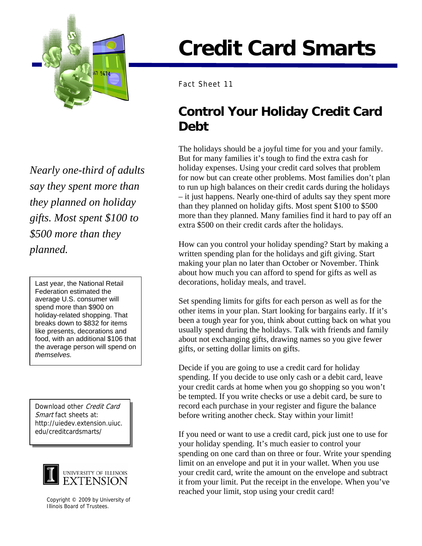

*Nearly one-third of adults say they spent more than they planned on holiday gifts. Most spent \$100 to \$500 more than they planned.* 

Federation estimated the average U.S. consumer will spend more than \$900 on holiday-related shopping. That breaks down to \$832 for items like presents, decorations and food, with an additional \$106 that the average person will spend on *themselves.*

Download other Credit Card Smart fact sheets at: http://uiedev.extension.uiuc.



Copyright © 2009 by University of Illinois Board of Trustees.

## **Credit Card Smarts**

Fact Sheet 11

## **Control Your Holiday Credit Card Debt**

The holidays should be a joyful time for you and your family. But for many families it's tough to find the extra cash for holiday expenses. Using your credit card solves that problem for now but can create other problems. Most families don't plan to run up high balances on their credit cards during the holidays – it just happens. Nearly one-third of adults say they spent more than they planned on holiday gifts. Most spent \$100 to \$500 more than they planned. Many families find it hard to pay off an extra \$500 on their credit cards after the holidays.

How can you control your holiday spending? Start by making a written spending plan for the holidays and gift giving. Start making your plan no later than October or November. Think about how much you can afford to spend for gifts as well as Last year, the National Retail  $\parallel$  decorations, holiday meals, and travel.

> Set spending limits for gifts for each person as well as for the other items in your plan. Start looking for bargains early. If it's been a tough year for you, think about cutting back on what you usually spend during the holidays. Talk with friends and family about not exchanging gifts, drawing names so you give fewer gifts, or setting dollar limits on gifts.

Decide if you are going to use a credit card for holiday spending. If you decide to use only cash or a debit card, leave your credit cards at home when you go shopping so you won't be tempted. If you write checks or use a debit card, be sure to record each purchase in your register and figure the balance before writing another check. Stay within your limit!

edu/creditcardsmarts/ If you need or want to use a credit card, pick just one to use for your holiday spending. It's much easier to control your spending on one card than on three or four. Write your spending limit on an envelope and put it in your wallet. When you use your credit card, write the amount on the envelope and subtract it from your limit. Put the receipt in the envelope. When you've reached your limit, stop using your credit card!